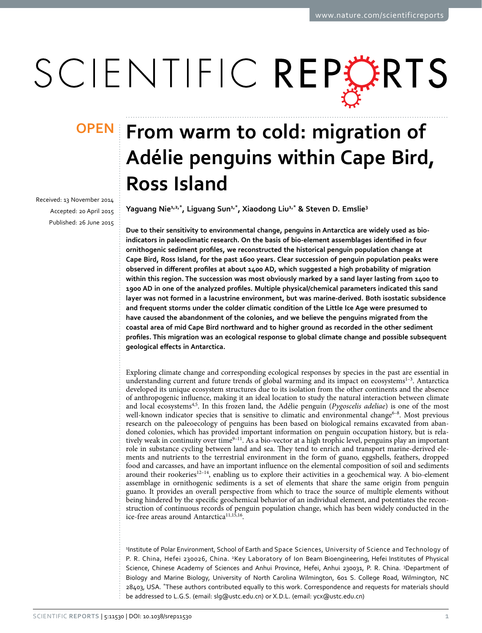# SCIENTIFIC REPORTS

Received: 13 November 2014 accepted: 20 April 2015 Published: 26 June 2015

## **OPEN** From warm to cold: migration of **Adélie penguins within Cape Bird, Ross Island**

**Yaguang Nie1,2,\*, Liguang Sun1,\*, Xiaodong Liu1,\* & Steven D. Emslie3**

**Due to their sensitivity to environmental change, penguins in Antarctica are widely used as bioindicators in paleoclimatic research. On the basis of bio-element assemblages identified in four ornithogenic sediment profiles, we reconstructed the historical penguin population change at Cape Bird, Ross Island, for the past 1600 years. Clear succession of penguin population peaks were observed in different profiles at about 1400 AD, which suggested a high probability of migration within this region. The succession was most obviously marked by a sand layer lasting from 1400 to 1900 AD in one of the analyzed profiles. Multiple physical/chemical parameters indicated this sand layer was not formed in a lacustrine environment, but was marine-derived. Both isostatic subsidence and frequent storms under the colder climatic condition of the Little Ice Age were presumed to have caused the abandonment of the colonies, and we believe the penguins migrated from the coastal area of mid Cape Bird northward and to higher ground as recorded in the other sediment profiles. This migration was an ecological response to global climate change and possible subsequent geological effects in Antarctica.**

Exploring climate change and corresponding ecological responses by species in the past are essential in understanding current and future trends of global warming and its impact on ecosystems<sup>1-3</sup>. Antarctica developed its unique ecosystem structures due to its isolation from the other continents and the absence of anthropogenic influence, making it an ideal location to study the natural interaction between climate and local ecosystems[4](#page-8-1)[,5](#page-8-2). In this frozen land, the Adélie penguin (*Pygoscelis adeliae*) is one of the most well-known indicator species that is sensitive to climatic and environmental change<sup>6–8</sup>. Most previous research on the paleoecology of penguins has been based on biological remains excavated from abandoned colonies, which has provided important information on penguin occupation history, but is relatively weak in continuity over time $9-11$ . As a bio-vector at a high trophic level, penguins play an important role in substance cycling between land and sea. They tend to enrich and transport marine-derived elements and nutrients to the terrestrial environment in the form of guano, eggshells, feathers, dropped food and carcasses, and have an important influence on the elemental composition of soil and sediments around their rookeries<sup>12-14</sup>, enabling us to explore their activities in a geochemical way. A bio-element assemblage in ornithogenic sediments is a set of elements that share the same origin from penguin guano. It provides an overall perspective from which to trace the source of multiple elements without being hindered by the specific geochemical behavior of an individual element, and potentiates the reconstruction of continuous records of penguin population change, which has been widely conducted in the ice-free areas around Antarctica<sup>[11](#page-8-6)[,15](#page-8-7),16</sup>.

1 Institute of Polar Environment, School of Earth and Space Sciences, University of Science and Technology of P. R. China, Hefei 230026, China. 2Key Laboratory of Ion Beam Bioengineering, Hefei Institutes of Physical Science, Chinese Academy of Sciences and Anhui Province, Hefei, Anhui 230031, P. R. China. <sup>3</sup>Department of Biology and Marine Biology, University of North Carolina Wilmington, 601 S. College Road, Wilmington, NC 28403, USA. \*These authors contributed equally to this work. Correspondence and requests for materials should be addressed to L.G.S. (email: [slg@ustc.edu.cn](mailto:slg@ustc.edu.cn)) or X.D.L. (email: [ycx@ustc.edu.cn\)](mailto:ycx@ustc.edu.cn)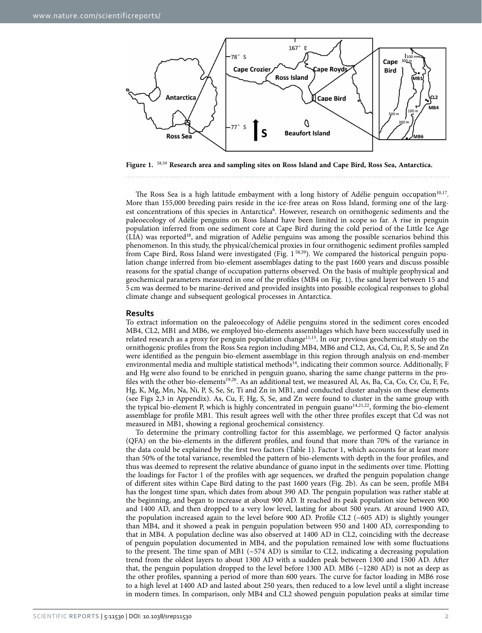

<span id="page-1-0"></span>**Figure 1.** [58,](#page-9-0)[59](#page-9-1) **Research area and sampling sites on Ross Island and Cape Bird, Ross Sea, Antarctica.**

The Ross Sea is a high latitude embayment with a long history of Adélie penguin occupation<sup>10,[17](#page-8-10)</sup>. More than 155,000 breeding pairs reside in the ice-free areas on Ross Island, forming one of the larg-est concentrations of this species in Antarctica<sup>[6](#page-8-3)</sup>. However, research on ornithogenic sediments and the paleoecology of Adélie penguins on Ross Island have been limited in scope so far. A rise in penguin population inferred from one sediment core at Cape Bird during the cold period of the Little Ice Age (LIA) was reporte[d18](#page-8-11), and migration of Adélie penguins was among the possible scenarios behind this phenomenon. In this study, the physical/chemical proxies in four ornithogenic sediment profiles sampled from Cape Bird, Ross Island were investigated ([Fig. 1](#page-1-0) [58,](#page-9-0)[59](#page-9-1)). We compared the historical penguin population change inferred from bio-element assemblages dating to the past 1600 years and discuss possible reasons for the spatial change of occupation patterns observed. On the basis of multiple geophysical and geochemical parameters measured in one of the profiles (MB4 on [Fig. 1\)](#page-1-0), the sand layer between 15 and 5 cm was deemed to be marine-derived and provided insights into possible ecological responses to global climate change and subsequent geological processes in Antarctica.

#### **Results**

To extract information on the paleoecology of Adélie penguins stored in the sediment cores encoded MB4, CL2, MB1 and MB6, we employed bio-elements assemblages which have been successfully used in related research as a proxy for penguin population chang[e11](#page-8-6),[15.](#page-8-7) In our previous geochemical study on the ornithogenic profiles from the Ross Sea region including MB4, MB6 and CL2, As, Cd, Cu, P, S, Se and Zn were identified as the penguin bio-element assemblage in this region through analysis on end-member environmental media and multiple statistical methods<sup>14</sup>, indicating their common source. Additionally, F and Hg were also found to be enriched in penguin guano, sharing the same change patterns in the profiles with the other bio-elements[19](#page-8-13)[,20](#page-8-14). As an additional test, we measured Al, As, Ba, Ca, Co, Cr, Cu, F, Fe, Hg, K, Mg, Mn, Na, Ni, P, S, Se, Sr, Ti and Zn in MB1, and conducted cluster analysis on these elements (see [Figs 2,3](#page-3-0) in Appendix). As, Cu, F, Hg, S, Se, and Zn were found to cluster in the same group with the typical bio-element P, which is highly concentrated in penguin guano $14,21,22$  $14,21,22$  $14,21,22$ , forming the bio-element assemblage for profile MB1. This result agrees well with the other three profiles except that Cd was not measured in MB1, showing a regional geochemical consistency.

To determine the primary controlling factor for this assemblage, we performed Q factor analysis (QFA) on the bio-elements in the different profiles, and found that more than 70% of the variance in the data could be explained by the first two factors [\(Table 1\)](#page-2-0). Factor 1, which accounts for at least more than 50% of the total variance, resembled the pattern of bio-elements with depth in the four profiles, and thus was deemed to represent the relative abundance of guano input in the sediments over time. Plotting the loadings for Factor 1 of the profiles with age sequences, we drafted the penguin population change of different sites within Cape Bird dating to the past 1600 years ([Fig. 2b](#page-2-1)). As can be seen, profile MB4 has the longest time span, which dates from about 390 AD. The penguin population was rather stable at the beginning, and began to increase at about 900 AD. It reached its peak population size between 900 and 1400 AD, and then dropped to a very low level, lasting for about 500 years. At around 1900 AD, the population increased again to the level before 900 AD. Profile CL2 (~605 AD) is slightly younger than MB4, and it showed a peak in penguin population between 950 and 1400 AD, corresponding to that in MB4. A population decline was also observed at 1400 AD in CL2, coinciding with the decrease of penguin population documented in MB4, and the population remained low with some fluctuations to the present. The time span of MB1 (~574 AD) is similar to CL2, indicating a decreasing population trend from the oldest layers to about 1300 AD with a sudden peak between 1300 and 1500 AD. After that, the penguin population dropped to the level before 1300 AD. MB6 (~1280 AD) is not as deep as the other profiles, spanning a period of more than 600 years. The curve for factor loading in MB6 rose to a high level at 1400 AD and lasted about 250 years, then reduced to a low level until a slight increase in modern times. In comparison, only MB4 and CL2 showed penguin population peaks at similar time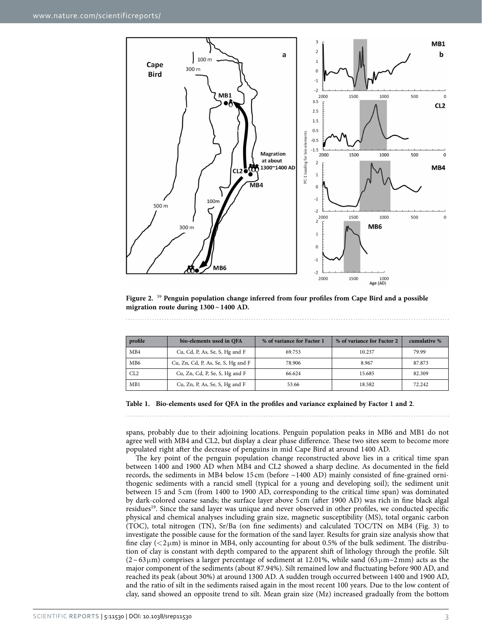

<span id="page-2-1"></span>**Figure 2.** [59](#page-9-1) **Penguin population change inferred from four profiles from Cape Bird and a possible migration route during 1300~1400 AD.**

<span id="page-2-0"></span>

| profile         | bio-elements used in QFA           | % of variance for Factor 1 | % of variance for Factor 2 | cumulative % |
|-----------------|------------------------------------|----------------------------|----------------------------|--------------|
| MB4             | Cu, Cd, P, As, Se, S, Hg and F     | 69.753                     | 10.237                     | 79.99        |
| MB <sub>6</sub> | Cu, Zn, Cd, P, As, Se, S, Hg and F | 78.906                     | 8.967                      | 87.873       |
| CL2             | Cu, Zn, Cd, P, Se, S, Hg and F     | 66.624                     | 15.685                     | 82.309       |
| MB1             | Cu, Zn, P, As, Se, S, Hg and F     | 53.66                      | 18.582                     | 72.242       |

**Table 1. Bio-elements used for QFA in the profiles and variance explained by Factor 1 and 2**.

spans, probably due to their adjoining locations. Penguin population peaks in MB6 and MB1 do not agree well with MB4 and CL2, but display a clear phase difference. These two sites seem to become more populated right after the decrease of penguins in mid Cape Bird at around 1400 AD.

The key point of the penguin population change reconstructed above lies in a critical time span between 1400 and 1900 AD when MB4 and CL2 showed a sharp decline. As documented in the field records, the sediments in MB4 below 15 cm (before ~1400 AD) mainly consisted of fine-grained ornithogenic sediments with a rancid smell (typical for a young and developing soil); the sediment unit between 15 and 5 cm (from 1400 to 1900 AD, corresponding to the critical time span) was dominated by dark-colored coarse sands; the surface layer above 5 cm (after 1900 AD) was rich in fine black algal residues<sup>19</sup>. Since the sand layer was unique and never observed in other profiles, we conducted specific physical and chemical analyses including grain size, magnetic susceptibility (MS), total organic carbon (TOC), total nitrogen (TN), Sr/Ba (on fine sediments) and calculated TOC/TN on MB4 ([Fig. 3\)](#page-3-0) to investigate the possible cause for the formation of the sand layer. Results for grain size analysis show that fine clay  $( $2\mu$ m) is minor in MB4, only accounting for about 0.5% of the bulk sediment. The distribu$ tion of clay is constant with depth compared to the apparent shift of lithology through the profile. Silt  $(2~63)$ μm) comprises a larger percentage of sediment at 12.01%, while sand (63 μm $\sim$ 2mm) acts as the major component of the sediments (about 87.94%). Silt remained low and fluctuating before 900 AD, and reached its peak (about 30%) at around 1300 AD. A sudden trough occurred between 1400 and 1900 AD, and the ratio of silt in the sediments raised again in the most recent 100 years. Due to the low content of clay, sand showed an opposite trend to silt. Mean grain size (Mz) increased gradually from the bottom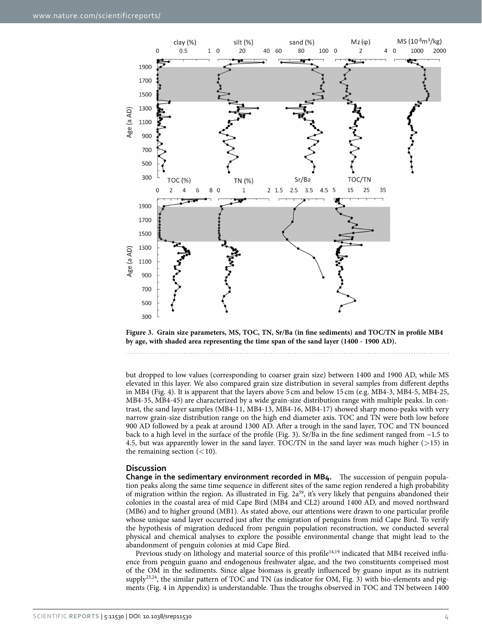

<span id="page-3-0"></span>

but dropped to low values (corresponding to coarser grain size) between 1400 and 1900 AD, while MS elevated in this layer. We also compared grain size distribution in several samples from different depths in MB4 [\(Fig. 4\)](#page-4-0). It is apparent that the layers above 5 cm and below 15 cm (e.g. MB4-3, MB4-5, MB4-25, MB4-35, MB4-45) are characterized by a wide grain-size distribution range with multiple peaks. In contrast, the sand layer samples (MB4-11, MB4-13, MB4-16, MB4-17) showed sharp mono-peaks with very narrow grain-size distribution range on the high end diameter axis. TOC and TN were both low before 900 AD followed by a peak at around 1300 AD. After a trough in the sand layer, TOC and TN bounced back to a high level in the surface of the profile ([Fig. 3](#page-3-0)). Sr/Ba in the fine sediment ranged from  $\sim$ 1.5 to 4.5, but was apparently lower in the sand layer. TOC/TN in the sand layer was much higher ( $>15$ ) in the remaining section  $(<10$ ).

#### **Discussion**

**Change in the sedimentary environment recorded in MB4.** The succession of penguin population peaks along the same time sequence in different sites of the same region rendered a high probability of migration within the region. As illustrated in [Fig. 2a](#page-2-1)<sup>[59](#page-9-1)</sup>, it's very likely that penguins abandoned their colonies in the coastal area of mid Cape Bird (MB4 and CL2) around 1400 AD, and moved northward (MB6) and to higher ground (MB1). As stated above, our attentions were drawn to one particular profile whose unique sand layer occurred just after the emigration of penguins from mid Cape Bird. To verify the hypothesis of migration deduced from penguin population reconstruction, we conducted several physical and chemical analyses to explore the possible environmental change that might lead to the abandonment of penguin colonies at mid Cape Bird.

Previous study on lithology and material source of this profile<sup>14,19</sup> indicated that MB4 received influence from penguin guano and endogenous freshwater algae, and the two constituents comprised most of the OM in the sediments. Since algae biomass is greatly influenced by guano input as its nutrient supply<sup>23,24</sup>, the similar pattern of TOC and TN (as indicator for OM, [Fig. 3\)](#page-3-0) with bio-elements and pigments ([Fig. 4](#page-4-0) in Appendix) is understandable. Thus the troughs observed in TOC and TN between 1400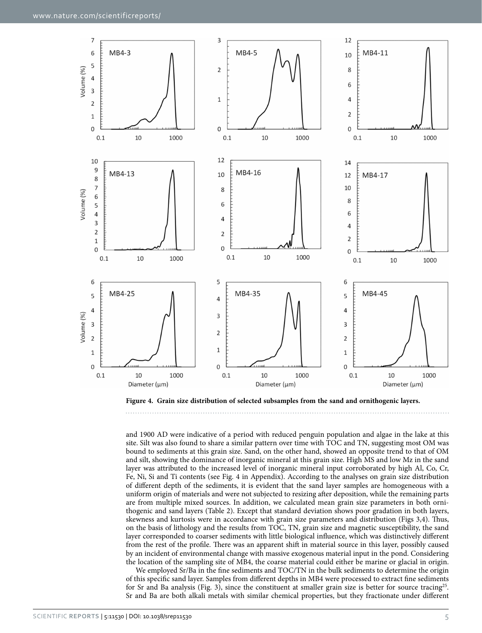

<span id="page-4-0"></span>**Figure 4. Grain size distribution of selected subsamples from the sand and ornithogenic layers.** 

and 1900 AD were indicative of a period with reduced penguin population and algae in the lake at this site. Silt was also found to share a similar pattern over time with TOC and TN, suggesting most OM was bound to sediments at this grain size. Sand, on the other hand, showed an opposite trend to that of OM and silt, showing the dominance of inorganic mineral at this grain size. High MS and low Mz in the sand layer was attributed to the increased level of inorganic mineral input corroborated by high Al, Co, Cr, Fe, Ni, Si and Ti contents (see [Fig. 4](#page-4-0) in Appendix). According to the analyses on grain size distribution of different depth of the sediments, it is evident that the sand layer samples are homogeneous with a uniform origin of materials and were not subjected to resizing after deposition, while the remaining parts are from multiple mixed sources. In addition, we calculated mean grain size parameters in both ornithogenic and sand layers ([Table 2\)](#page-5-0). Except that standard deviation shows poor gradation in both layers, skewness and kurtosis were in accordance with grain size parameters and distribution ([Figs 3,](#page-3-0)[4](#page-4-0)). Thus, on the basis of lithology and the results from TOC, TN, grain size and magnetic susceptibility, the sand layer corresponded to coarser sediments with little biological influence, which was distinctively different from the rest of the profile. There was an apparent shift in material source in this layer, possibly caused by an incident of environmental change with massive exogenous material input in the pond. Considering the location of the sampling site of MB4, the coarse material could either be marine or glacial in origin.

We employed Sr/Ba in the fine sediments and TOC/TN in the bulk sediments to determine the origin of this specific sand layer. Samples from different depths in MB4 were processed to extract fine sediments for Sr and Ba analysis ([Fig. 3\)](#page-3-0), since the constituent at smaller grain size is better for source tracing<sup>[25](#page-8-19)</sup>. Sr and Ba are both alkali metals with similar chemical properties, but they fractionate under different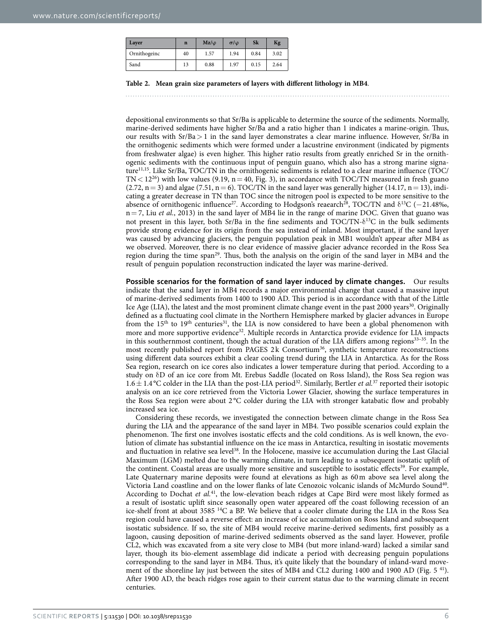<span id="page-5-0"></span>

| Layer        | $\mathbf n$ | $Mz/\omega$ | $\sigma/\varphi$ | Sk   | Kg   |
|--------------|-------------|-------------|------------------|------|------|
| Ornithogeinc | 40          | 1.57        | 1.94             | 0.84 | 3.02 |
| Sand         | 13          | 0.88        | 1.97             | 0.15 | 2.64 |

**Table 2. Mean grain size parameters of layers with different lithology in MB4**.

depositional environments so that Sr/Ba is applicable to determine the source of the sediments. Normally, marine-derived sediments have higher Sr/Ba and a ratio higher than 1 indicates a marine-origin. Thus, our results with Sr/Ba> 1 in the sand layer demonstrates a clear marine influence. However, Sr/Ba in the ornithogenic sediments which were formed under a lacustrine environment (indicated by pigments from freshwater algae) is even higher. This higher ratio results from greatly enriched Sr in the ornithogenic sediments with the continuous input of penguin guano, which also has a strong marine signature[11](#page-8-6)[,15](#page-8-7). Like Sr/Ba, TOC/TN in the ornithogenic sediments is related to a clear marine influence (TOC/  $TN < 12^{26}$ ) with low values (9.19, n = 40, [Fig. 3](#page-3-0)), in accordance with TOC/TN measured in fresh guano (2.72,  $n= 3$ ) and algae (7.51,  $n= 6$ ). TOC/TN in the sand layer was generally higher (14.17,  $n= 13$ ), indicating a greater decrease in TN than TOC since the nitrogen pool is expected to be more sensitive to the absence of ornithogenic influence<sup>27</sup>. According to Hodgson's reaearch<sup>28</sup>, TOC/TN and  $\delta^{13}C$  (−21.48‰, n= 7, Liu *et al.*, 2013) in the sand layer of MB4 lie in the range of marine DOC. Given that guano was not present in this layer, both Sr/Ba in the fine sediments and  $TOC/TN-\delta^{13}C$  in the bulk sediments provide strong evidence for its origin from the sea instead of inland. Most important, if the sand layer was caused by advancing glaciers, the penguin population peak in MB1 wouldn't appear after MB4 as we observed. Moreover, there is no clear evidence of massive glacier advance recorded in the Ross Sea region during the time spa[n29](#page-8-23). Thus, both the analysis on the origin of the sand layer in MB4 and the result of penguin population reconstruction indicated the layer was marine-derived.

**Possible scenarios for the formation of sand layer induced by climate changes.** Our results indicate that the sand layer in MB4 records a major environmental change that caused a massive input of marine-derived sediments from 1400 to 1900 AD. This period is in accordance with that of the Little Ice Age (LIA), the latest and the most prominent climate change event in the past 2000 years<sup>[30](#page-8-24)</sup>. Originally defined as a fluctuating cool climate in the Northern Hemisphere marked by glacier advances in Europe from the  $15<sup>th</sup>$  to  $19<sup>th</sup>$  centuries<sup>31</sup>, the LIA is now considered to have been a global phenomenon with more and more supportive evidence<sup>32</sup>. Multiple records in Antarctica provide evidence for LIA impacts in this southernmost continent, though the actual duration of the LIA differs among regions<sup>33-35</sup>. In the most recently published report from PAGES 2k Consortium<sup>36</sup>, synthetic temperature reconstructions using different data sources exhibit a clear cooling trend during the LIA in Antarctica. As for the Ross Sea region, research on ice cores also indicates a lower temperature during that period. According to a study on δD of an ice core from Mt. Erebus Saddle (located on Ross Island), the Ross Sea region was  $1.6 \pm 1.4$  °C colder in the LIA than the post-LIA period<sup>32</sup>. Similarly, Bertler *et al.*<sup>37</sup> reported their isotopic analysis on an ice core retrieved from the Victoria Lower Glacier, showing the surface temperatures in the Ross Sea region were about 2 °C colder during the LIA with stronger katabatic flow and probably increased sea ice.

Considering these records, we investigated the connection between climate change in the Ross Sea during the LIA and the appearance of the sand layer in MB4. Two possible scenarios could explain the phenomenon. The first one involves isostatic effects and the cold conditions. As is well known, the evolution of climate has substantial influence on the ice mass in Antarctica, resulting in isostatic movements and fluctuation in relative sea level<sup>38</sup>. In the Holocene, massive ice accumulation during the Last Glacial Maximum (LGM) melted due to the warming climate, in turn leading to a subsequent isostatic uplift of the continent. Coastal areas are usually more sensitive and susceptible to isostatic effects<sup>[39](#page-9-5)</sup>. For example, Late Quaternary marine deposits were found at elevations as high as 60m above sea level along the Victoria Land coastline and on the lower flanks of late Cenozoic volcanic islands of McMurdo Sound[40](#page-9-6). According to Dochat *et al.*[41,](#page-9-7) the low-elevation beach ridges at Cape Bird were most likely formed as a result of isostatic uplift since seasonally open water appeared off the coast following recession of an ice-shelf front at about 3585 14C a BP. We believe that a cooler climate during the LIA in the Ross Sea region could have caused a reverse effect: an increase of ice accumulation on Ross Island and subsequent isostatic subsidence. If so, the site of MB4 would receive marine-derived sediments, first possibly as a lagoon, causing deposition of marine-derived sediments observed as the sand layer. However, profile CL2, which was excavated from a site very close to MB4 (but more inland-ward) lacked a similar sand layer, though its bio-element assemblage did indicate a period with decreasing penguin populations corresponding to the sand layer in MB4. Thus, it's quite likely that the boundary of inland-ward move-ment of the shoreline lay just between the sites of MB4 and CL2 during 1400 and 1900 AD [\(Fig. 5](#page-6-0)<sup>[41](#page-9-7)</sup>). After 1900 AD, the beach ridges rose again to their current status due to the warming climate in recent centuries.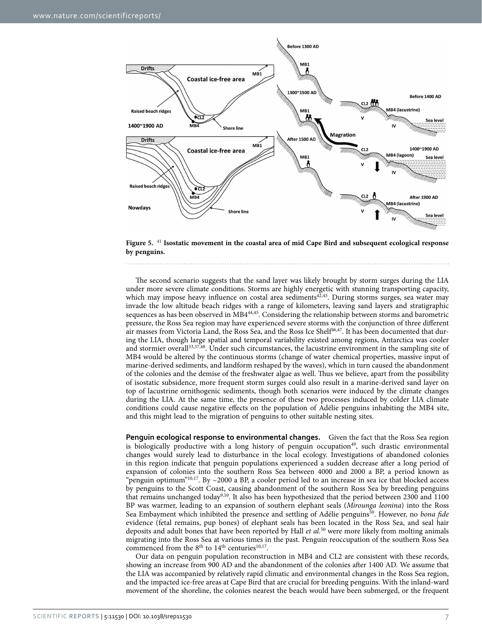

<span id="page-6-0"></span>**Figure 5.** [41](#page-9-7) **Isostatic movement in the coastal area of mid Cape Bird and subsequent ecological response by penguins.**

The second scenario suggests that the sand layer was likely brought by storm surges during the LIA under more severe climate conditions. Storms are highly energetic with stunning transporting capacity, which may impose heavy influence on costal area sediments $42,43$ . During storms surges, sea water may invade the low altitude beach ridges with a range of kilometers, leaving sand layers and stratigraphic sequences as has been observed in MB[444](#page-9-10),[45](#page-9-11). Considering the relationship between storms and barometric pressure, the Ross Sea region may have experienced severe storms with the conjunction of three different air masses from Victoria Land, the Ross Sea, and the Ross Ice Shelf<sup>46,47</sup>. It has been documented that during the LIA, though large spatial and temporal variability existed among regions, Antarctica was cooler and stormier overall<sup>33[,37](#page-9-3),48</sup>. Under such circumstances, the lacustrine environment in the sampling site of MB4 would be altered by the continuous storms (change of water chemical properties, massive input of marine-derived sediments, and landform reshaped by the waves), which in turn caused the abandonment of the colonies and the demise of the freshwater algae as well. Thus we believe, apart from the possibility of isostatic subsidence, more frequent storm surges could also result in a marine-derived sand layer on top of lacustrine ornithogenic sediments, though both scenarios were induced by the climate changes during the LIA. At the same time, the presence of these two processes induced by colder LIA climate conditions could cause negative effects on the population of Adélie penguins inhabiting the MB4 site, and this might lead to the migration of penguins to other suitable nesting sites.

**Penguin ecological response to environmental changes.** Given the fact that the Ross Sea region is biologically productive with a long history of penguin occupation<sup>49</sup>, such drastic environmental changes would surely lead to disturbance in the local ecology. Investigations of abandoned colonies in this region indicate that penguin populations experienced a sudden decrease after a long period of expansion of colonies into the southern Ross Sea between 4000 and 2000 a BP, a period known as "penguin optimum"<sup>[10](#page-8-9)[,17](#page-8-10)</sup>. By ~2000 a BP, a cooler period led to an increase in sea ice that blocked access by penguins to the Scott Coast, causing abandonment of the southern Ross Sea by breeding penguins that remains unchanged today<sup>9,10</sup>. It also has been hypothesized that the period between 2300 and 1100 BP was warmer, leading to an expansion of southern elephant seals (*Mirounga leonina*) into the Ross Sea Embayment which inhibited the presence and settling of Adélie penguins<sup>[50](#page-9-16)</sup>. However, no *bona fide* evidence (fetal remains, pup bones) of elephant seals has been located in the Ross Sea, and seal hair deposits and adult bones that have been reported by Hall *et al.*[50](#page-9-16) were more likely from molting animals migrating into the Ross Sea at various times in the past. Penguin reoccupation of the southern Ross Sea commenced from the 8<sup>th</sup> to 14<sup>th</sup> centuries<sup>10,17</sup>.

Our data on penguin population reconstruction in MB4 and CL2 are consistent with these records, showing an increase from 900 AD and the abandonment of the colonies after 1400 AD. We assume that the LIA was accompanied by relatively rapid climatic and environmental changes in the Ross Sea region, and the impacted ice-free areas at Cape Bird that are crucial for breeding penguins. With the inland-ward movement of the shoreline, the colonies nearest the beach would have been submerged, or the frequent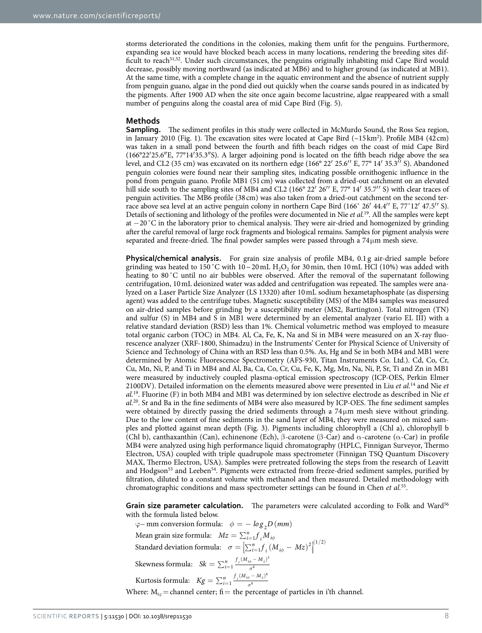storms deteriorated the conditions in the colonies, making them unfit for the penguins. Furthermore, expanding sea ice would have blocked beach access in many locations, rendering the breeding sites dif-ficult to reach<sup>[51,](#page-9-17)52</sup>. Under such circumstances, the penguins originally inhabiting mid Cape Bird would decrease, possibly moving northward (as indicated at MB6) and to higher ground (as indicated at MB1). At the same time, with a complete change in the aquatic environment and the absence of nutrient supply from penguin guano, algae in the pond died out quickly when the coarse sands poured in as indicated by the pigments. After 1900 AD when the site once again become lacustrine, algae reappeared with a small number of penguins along the coastal area of mid Cape Bird ([Fig. 5\)](#page-6-0).

### **Methods**

**Sampling.** The sediment profiles in this study were collected in McMurdo Sound, the Ross Sea region, in January 2010 ([Fig. 1](#page-1-0)). The excavation sites were located at Cape Bird (~15 km<sup>[2](#page-8-28)</sup>). Profile MB4 (42 cm) was taken in a small pond between the fourth and fifth beach ridges on the coast of mid Cape Bird (166°22′25.6″E, 77°14′35.3″S). A larger adjoining pond is located on the fifth beach ridge above the sea level, and CL2 (35 cm) was excavated on its northern edge (166° 22′ 25.6′′ E, 77° 14′ 35.3′′ S). Abandoned penguin colonies were found near their sampling sites, indicating possible ornithogenic influence in the pond from penguin guano. Profile MB1 (51cm) was collected from a dried-out catchment on an elevated hill side south to the sampling sites of MB4 and CL2 (166° 22′ 26′′ E, 77° 14′ 35.7′′ S) with clear traces of penguin activities. The MB6 profile (38cm) was also taken from a dried-out catchment on the second terrace above sea level at an active penguin colony in northern Cape Bird (166˚ 26′ 44.4′′ E, 77˚12′ 47.5′′ S). Details of sectioning and lithology of the profiles were documented in Nie *et al.*[19.](#page-8-13) All the samples were kept at −20˚C in the laboratory prior to chemical analysis. They were air-dried and homogenized by grinding after the careful removal of large rock fragments and biological remains. Samples for pigment analysis were separated and freeze-dried. The final powder samples were passed through a 74μm mesh sieve.

**Physical/chemical analysis.** For grain size analysis of profile MB4, 0.1 g air-dried sample before grinding was heated to 150 °C with  $10 \sim 20$  mL H<sub>2</sub>O<sub>2</sub> for 30 min, then 10 mL HCl (10%) was added with heating to 80 °C until no air bubbles were observed. After the removal of the supernatant following centrifugation, 10mL deionized water was added and centrifugation was repeated. The samples were analyzed on a Laser Particle Size Analyzer (LS 13320) after 10mL sodium hexametaphosphate (as dispersing agent) was added to the centrifuge tubes. Magnetic susceptibility (MS) of the MB4 samples was measured on air-dried samples before grinding by a susceptibility meter (MS2, Bartington). Total nitrogen (TN) and sulfur (S) in MB4 and S in MB1 were determined by an elemental analyzer (vario EL III) with a relative standard deviation (RSD) less than 1%. Chemical volumetric method was employed to measure total organic carbon (TOC) in MB4. Al, Ca, Fe, K, Na and Si in MB4 were measured on an X-ray fluorescence analyzer (XRF-1800, Shimadzu) in the Instruments' Center for Physical Science of University of Science and Technology of China with an RSD less than 0.5%. As, Hg and Se in both MB4 and MB1 were determined by Atomic Fluorescence Spectrometry (AFS-930, Titan Instruments Co. Ltd.). Cd, Co, Cr, Cu, Mn, Ni, P, and Ti in MB4 and Al, Ba, Ca, Co, Cr, Cu, Fe, K, Mg, Mn, Na, Ni, P, Sr, Ti and Zn in MB1 were measured by inductively coupled plasma-optical emission spectroscopy (ICP-OES, Perkin Elmer 2100DV). Detailed information on the elements measured above were presented in Liu *et al.*[14](#page-8-12) and Nie *et al.*[19.](#page-8-13) Fluorine (F) in both MB4 and MB1 was determined by ion selective electrode as described in Nie *et al.*[20.](#page-8-14) Sr and Ba in the fine sediments of MB4 were also measured by ICP-OES. The fine sediment samples were obtained by directly passing the dried sediments through a 74μm mesh sieve without grinding. Due to the low content of fine sediments in the sand layer of MB4, they were measured on mixed samples and plotted against mean depth [\(Fig. 3](#page-3-0)). Pigments including chlorophyll a (Chl a), chlorophyll b (Chl b), canthaxanthin (Can), echinenone (Ech), β-carotene (β-Car) and  $\alpha$ -carotene ( $\alpha$ -Car) in profile MB4 were analyzed using high performance liquid chromatography (HPLC, Finnigan Surveyor, Thermo Electron, USA) coupled with triple quadrupole mass spectrometer (Finnigan TSQ Quantum Discovery MAX, Thermo Electron, USA). Samples were pretreated following the steps from the research of Leavitt and Hodgson<sup>53</sup> and Leeben<sup>54</sup>. Pigments were extracted from freeze-dried sediment samples, purified by filtration, diluted to a constant volume with methanol and then measured. Detailed methodology with chromatographic conditions and mass spectrometer settings can be found in Chen *et al.*[55.](#page-9-21)

Grain size parameter calculation. The parameters were calculated according to Folk and Ward<sup>[56](#page-9-22)</sup> with the formula listed below.

 $\varphi$  – mm conversion formula:  $\phi = -\log_{2}D \left( mm \right)$ *Mean grain size formula:*  $Mz = \sum_{i=1}^{n} f_i M_{i\phi}$  $\sigma = \left[ \sum_{i=1}^{n} f_i (M_{i\phi} - Mz)^2 \right]$ Į Standard deviation formula:  $\sigma = \left[ \sum_{i=1}^{n} \int_{i}^{n} (M_{i\phi} - Mz)^{2} \right]^{(1/2)}$  $2^{1/2}$ Skewness formula:  $S_k = \sum_{i=1}^n \frac{f_i (M_{i\phi} - M_z)^3}{\sigma^4}$ Kurtosis formula:  $Kg = \sum_{i=1}^{n} \frac{f_i (M_{i\phi} - M_z)^4}{\sigma^4}$ Where:  $M_{i\phi}$  = channel center; fi = the percentage of particles in i'th channel.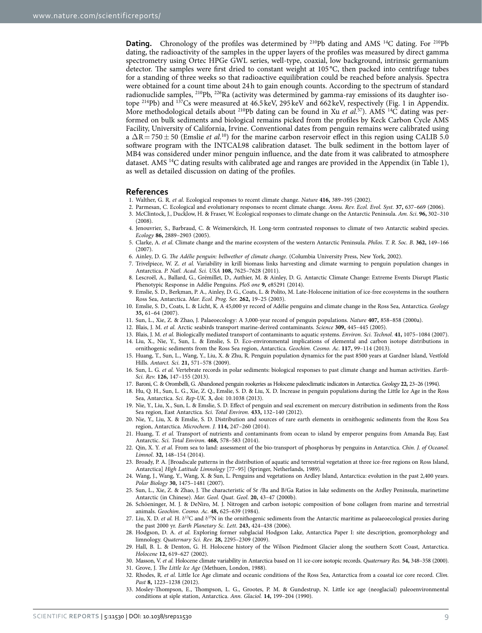**Dating.** Chronology of the profiles was determined by <sup>210</sup>Pb dating and AMS <sup>14</sup>C dating. For <sup>210</sup>Pb dating, the radioactivity of the samples in the upper layers of the profiles was measured by direct gamma spectrometry using Ortec HPGe GWL series, well-type, coaxial, low background, intrinsic germanium detector. The samples were first dried to constant weight at 105 °C, then packed into centrifuge tubes for a standing of three weeks so that radioactive equilibration could be reached before analysis. Spectra were obtained for a count time about 24h to gain enough counts. According to the spectrum of standard radionuclide samples,  $^{210}Pb$ ,  $^{226}Ra$  (activity was determined by gamma-ray emissions of its daughter isotope 214Pb) and 137Cs were measured at 46.5keV, 295 keV and 662 keV, respectively [\(Fig. 1](#page-1-0) in Appendix. More methodological details about 210Pb dating can be found in Xu *et al.*[57\)](#page-9-23). AMS 14C dating was performed on bulk sediments and biological remains picked from the profiles by Keck Carbon Cycle AMS Facility, University of California, Irvine. Conventional dates from penguin remains were calibrated using a  $\Delta R = 750 \pm 50$  (Emslie *et al.*<sup>10</sup>) for the marine carbon reservoir effect in this region using CALIB 5.0 software program with the INTCAL98 calibration dataset. The bulk sediment in the bottom layer of MB4 was considered under minor penguin influence, and the date from it was calibrated to atmosphere dataset. AMS 14C dating results with calibrated age and ranges are provided in the Appendix (in [Table 1](#page-2-0)), as well as detailed discussion on dating of the profiles.

#### **References**

- <span id="page-8-0"></span>1. Walther, G. R. *et al.* Ecological responses to recent climate change. *Nature* **416,** 389–395 (2002).
- <span id="page-8-28"></span>2. Parmesan, C. Ecological and evolutionary responses to recent climate change. *Annu. Rev. Ecol. Evol. Syst.* **37,** 637–669 (2006).
- 3. McClintock, J., Ducklow, H. & Fraser, W. Ecological responses to climate change on the Antarctic Peninsula. *Am. Sci*. **96,** 302–310 (2008).
- <span id="page-8-1"></span>4. Jenouvrier, S., Barbraud, C. & Weimerskirch, H. Long-term contrasted responses to climate of two Antarctic seabird species. *Ecology* **86,** 2889–2903 (2005).
- <span id="page-8-2"></span>5. Clarke, A. *et al.* Climate change and the marine ecosystem of the western Antarctic Peninsula. *Philos. T. R. Soc. B*. **362,** 149–166  $(2007)$
- <span id="page-8-3"></span>6. Ainley, D. G. *The Adélie penguin: bellwether of climate change*. (Columbia University Press, New York, 2002).
- 7. Trivelpiece, W. Z. *et al.* Variability in krill biomass links harvesting and climate warming to penguin population changes in Antarctica. *P. Natl. Acad. Sci. USA* **108,** 7625–7628 (2011).
- 8. Lescroël, A., Ballard, G., Grémillet, D., Authier, M. & Ainley, D. G. Antarctic Climate Change: Extreme Events Disrupt Plastic Phenotypic Response in Adélie Penguins. *PloS one* **9,** e85291 (2014).
- <span id="page-8-4"></span>9. Emslie, S. D., Berkman, P. A., Ainley, D. G., Coats, L. & Polito, M. Late-Holocene initiation of ice-free ecosystems in the southern Ross Sea, Antarctica. *Mar. Ecol. Prog. Ser.* **262,** 19–25 (2003).
- <span id="page-8-9"></span>10. Emslie, S. D., Coats, L. & Licht, K. A 45,000 yr record of Adélie penguins and climate change in the Ross Sea, Antarctica. *Geology* 35, 61-64 (2007).
- <span id="page-8-6"></span>11. Sun, L., Xie, Z. & Zhao, J. Palaeoecology: A 3,000-year record of penguin populations. *Nature* **407,** 858–858 (2000a).
- <span id="page-8-5"></span>12. Blais, J. M. *et al.* Arctic seabirds transport marine-derived contaminants. *Science* **309,** 445–445 (2005).
- <span id="page-8-12"></span>13. Blais, J. M. *et al.* Biologically mediated transport of contaminants to aquatic systems. *Environ. Sci. Technol.* **41,** 1075–1084 (2007). 14. Liu, X., Nie, Y., Sun, L. & Emslie, S. D. Eco-environmental implications of elemental and carbon isotope distributions in
- ornithogenic sediments from the Ross Sea region, Antarctica. *Geochim. Cosmo. Ac*. **117,** 99–114 (2013).
- <span id="page-8-7"></span>15. Huang, T., Sun, L., Wang, Y., Liu, X. & Zhu, R. Penguin population dynamics for the past 8500 years at Gardner Island, Vestfold Hills. *Antarct. Sci.* **21,** 571–578 (2009).
- <span id="page-8-8"></span>16. Sun, L. G. *et al.* Vertebrate records in polar sediments: biological responses to past climate change and human activities. *Earth-Sci. Rev.* **126,** 147–155 (2013).
- <span id="page-8-10"></span>17. Baroni, C. & Orombelli, G. Abandoned penguin rookeries as Holocene paleoclimatic indicators in Antarctica. *Geology* **22,** 23–26 (1994).
- <span id="page-8-11"></span>18. Hu, Q. H., Sun, L. G., Xie, Z. Q., Emslie, S. D. & Liu, X. D. Increase in penguin populations during the Little Ice Age in the Ross Sea, Antarctica. *Sci. Rep-UK*. **3,** doi: 10.1038 (2013).
- <span id="page-8-13"></span>19. Nie, Y., Liu, X., Sun, L. & Emslie, S. D. Effect of penguin and seal excrement on mercury distribution in sediments from the Ross Sea region, East Antarctica. *Sci. Total Environ.* **433,** 132–140 (2012).
- <span id="page-8-14"></span>20. Nie, Y., Liu, X. & Emslie, S. D. Distribution and sources of rare earth elements in ornithogenic sediments from the Ross Sea region, Antarctica. *Microchem. J.* **114,** 247–260 (2014).
- <span id="page-8-15"></span>21. Huang, T. *et al.* Transport of nutrients and contaminants from ocean to island by emperor penguins from Amanda Bay, East Antarctic. *Sci. Total Environ.* **468,** 578–583 (2014).
- <span id="page-8-16"></span>22. Qin, X. Y. *et al.* From sea to land: assessment of the bio-transport of phosphorus by penguins in Antarctica. *Chin. J. of Oceanol. Limnol*. **32,** 148–154 (2014).
- <span id="page-8-17"></span>23. Broady, P. A. [Broadscale patterns in the distribution of aquatic and terrestrial vegetation at three ice-free regions on Ross Island, Antarctica] *High Latitude Limnology* [77–95] (Springer, Netherlands, 1989).
- <span id="page-8-18"></span>24. Wang, J., Wang, Y., Wang, X. & Sun, L. Penguins and vegetations on Ardley Island, Antarctica: evolution in the past 2,400 years. *Polar Biology* **30,** 1475–1481 (2007).
- <span id="page-8-19"></span>25. Sun, L., Xie, Z. & Zhao, J. The characteristic of Sr /Ba and B/Ga Ratios in lake sediments on the Ardley Peninsula, marinetime Antarctic (in Chinese). *Mar. Geol. Quat. Geol*. **20,** 43–47 (2000b).
- <span id="page-8-20"></span>26. Schöeninger, M. J. & DeNiro, M. J. Nitrogen and carbon isotopic composition of bone collagen from marine and terrestrial animals. *Geochim. Cosmo. Ac*. **48,** 625–639 (1984).
- <span id="page-8-21"></span>27. Liu, X. D. *et al.* H.  $\delta^{13}C$  and  $\delta^{15}N$  in the ornithogenic sediments from the Antarctic maritime as palaeoecological proxies during the past 2000 yr. *Earth Planetary Sc. Lett*. **243,** 424–438 (2006).
- <span id="page-8-22"></span>28. Hodgson, D. A. *et al.* Exploring former subglacial Hodgson Lake, Antarctica Paper I: site description, geomorphology and limnology. *Quaternary Sci. Rev.* **28,** 2295–2309 (2009).
- <span id="page-8-23"></span>29. Hall, B. L. & Denton, G. H. Holocene history of the Wilson Piedmont Glacier along the southern Scott Coast, Antarctica. *Holocene* **12,** 619–627 (2002).
- <span id="page-8-25"></span><span id="page-8-24"></span>30. Masson, V. *et al.* Holocene climate variability in Antarctica based on 11 ice-core isotopic records. *Quaternary Res.* **54,** 348–358 (2000). 31. Grove, J. *The Little Ice Age* (Methuen, London, 1988).
- <span id="page-8-26"></span>32. Rhodes, R. *et al.* Little Ice Age climate and oceanic conditions of the Ross Sea, Antarctica from a coastal ice core record. *Clim. Past* **8,** 1223–1238 (2012).
- <span id="page-8-27"></span>33. Mosley-Thompson, E., Thompson, L. G., Grootes, P. M. & Gundestrup, N. Little ice age (neoglacial) paleoenvironmental conditions at siple station, Antarctica. *Ann. Glaciol.* **14,** 199–204 (1990).